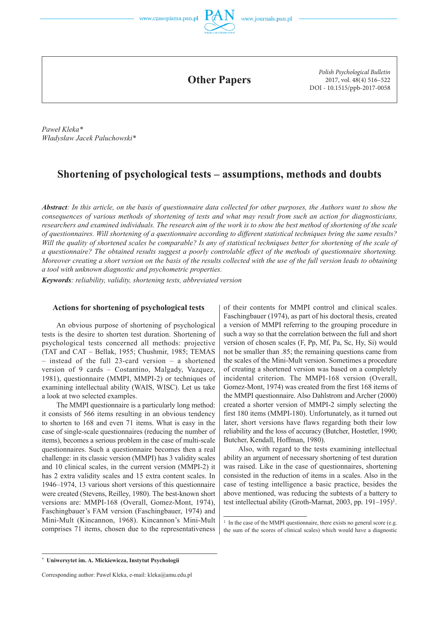



**Other Papers**

*Polish Psychological Bulletin* 2017, vol. 48(4) 516–522 DOI - 10.1515/ppb-2017-0058

*Paweł Kleka\* Władysław Jacek Paluchowski\** 

# **Shortening of psychological tests – assumptions, methods and doubts**

*Abstract: In this article, on the basis of questionnaire data collected for other purposes, the Authors want to show the consequences of various methods of shortening of tests and what may result from such an action for diagnosticians, researchers and examined individuals. The research aim of the work is to show the best method of shortening of the scale of questionnaires. Will shortening of a questionnaire according to different statistical techniques bring the same results?*  Will the quality of shortened scales be comparable? Is any of statistical techniques better for shortening of the scale of *a questionnaire? The obtained results suggest a poorly controlable effect of the methods of questionnaire shortening. Moreover creating a short version on the basis of the results collected with the use of the full version leads to obtaining a tool with unknown diagnostic and psychometric properties.*

*Keywords: reliability, validity, shortening tests, abbreviated version*

### **Actions for shortening of psychological tests**

An obvious purpose of shortening of psychological tests is the desire to shorten test duration. Shortening of psychological tests concerned all methods: projective (TAT and CAT – Bellak, 1955; Chushmir, 1985; TEMAS – instead of the full 23-card version – a shortened version of 9 cards – Costantino, Malgady, Vazquez, 1981), questionnaire (MMPI, MMPI-2) or techniques of examining intellectual ability (WAIS, WISC). Let us take a look at two selected examples.

The MMPI questionnaire is a particularly long method: it consists of 566 items resulting in an obvious tendency to shorten to 168 and even 71 items. What is easy in the case of single-scale questionnaires (reducing the number of items), becomes a serious problem in the case of multi-scale questionnaires. Such a questionnaire becomes then a real challenge: in its classic version (MMPI) has 3 validity scales and 10 clinical scales, in the current version (MMPI-2) it has 2 extra validity scales and 15 extra content scales. In 1946–1974, 13 various short versions of this questionnaire were created (Stevens, Reilley, 1980). The best-known short versions are: MMPI-168 (Overall, Gomez-Mont, 1974), Faschingbauer's FAM version (Faschingbauer, 1974) and Mini-Mult (Kincannon, 1968). Kincannon's Mini-Mult comprises 71 items, chosen due to the representativeness

of their contents for MMPI control and clinical scales. Faschingbauer (1974), as part of his doctoral thesis, created a version of MMPI referring to the grouping procedure in such a way so that the correlation between the full and short version of chosen scales (F, Pp, Mf, Pa, Sc, Hy, Si) would not be smaller than .85; the remaining questions came from the scales of the Mini-Mult version. Sometimes a procedure of creating a shortened version was based on a completely incidental criterion. The MMPI-168 version (Overall, Gomez-Mont, 1974) was created from the first 168 items of the MMPI questionnaire. Also Dahlstrom and Archer (2000) created a shorter version of MMPI-2 simply selecting the first 180 items (MMPI-180). Unfortunately, as it turned out later, short versions have flaws regarding both their low reliability and the loss of accuracy (Butcher, Hostetler, 1990; Butcher, Kendall, Hoffman, 1980).

Also, with regard to the tests examining intellectual ability an argument of necessary shortening of test duration was raised. Like in the case of questionnaires, shortening consisted in the reduction of items in a scales. Also in the case of testing intelligence a basic practice, besides the above mentioned, was reducing the subtests of a battery to test intellectual ability (Groth-Marnat, 2003, pp.  $191-195$ )<sup>1</sup>.

<sup>&</sup>lt;sup>1</sup> In the case of the MMPI questionnaire, there exists no general score (e.g. the sum of the scores of clinical scales) which would have a diagnostic

**<sup>\*</sup> Uniwersytet im. A. Mickiewicza, Instytut Psychologii**

Corresponding author: Paweł Kleka, e-mail: kleka@amu.edu.pl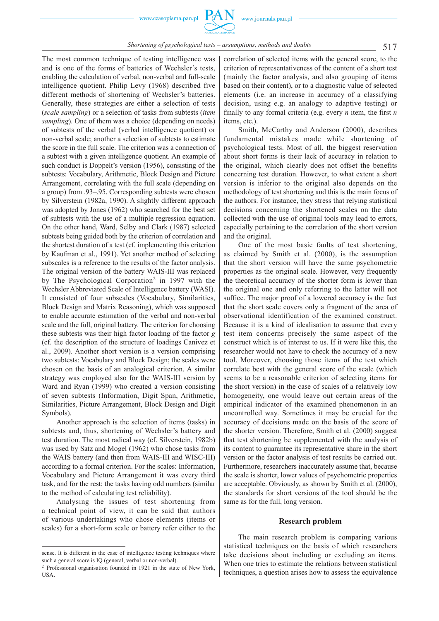

The most common technique of testing intelligence was and is one of the forms of batteries of Wechsler's tests, enabling the calculation of verbal, non-verbal and full-scale intelligence quotient. Philip Levy (1968) described five different methods of shortening of Wechsler's batteries. Generally, these strategies are either a selection of tests (*scale sampling*) or a selection of tasks from subtests (*item sampling*). One of them was a choice (depending on needs) of subtests of the verbal (verbal intelligence quotient) or non-verbal scale; another a selection of subtests to estimate the score in the full scale. The criterion was a connection of a subtest with a given intelligence quotient. An example of such conduct is Doppelt's version (1956), consisting of the subtests: Vocabulary, Arithmetic, Block Design and Picture Arrangement, correlating with the full scale (depending on a group) from .93–.95. Corresponding subtests were chosen by Silverstein (1982a, 1990). A slightly different approach was adopted by Jones (1962) who searched for the best set of subtests with the use of a multiple regression equation. On the other hand, Ward, Selby and Clark (1987) selected subtests being guided both by the criterion of correlation and the shortest duration of a test (cf. implementing this criterion by Kaufman et al., 1991). Yet another method of selecting subscales is a reference to the results of the factor analysis. The original version of the battery WAIS-III was replaced by The Psychological Corporation<sup>2</sup> in 1997 with the Wechsler Abbreviated Scale of Intelligence battery (WASI). It consisted of four subscales (Vocabulary, Similarities, Block Design and Matrix Reasoning), which was supposed to enable accurate estimation of the verbal and non-verbal scale and the full, original battery. The criterion for choosing these subtests was their high factor loading of the factor *g*  (cf. the description of the structure of loadings Canivez et al., 2009). Another short version is a version comprising two subtests: Vocabulary and Block Design; the scales were chosen on the basis of an analogical criterion. A similar strategy was employed also for the WAIS-III version by Ward and Ryan (1999) who created a version consisting of seven subtests (Information, Digit Span, Arithmetic, Similarities, Picture Arrangement, Block Design and Digit Symbols).

Another approach is the selection of items (tasks) in subtests and, thus, shortening of Wechsler's battery and test duration. The most radical way (cf. Silverstein, 1982b) was used by Satz and Mogel (1962) who chose tasks from the WAIS battery (and then from WAIS-III and WISC-III) according to a formal criterion. For the scales: Information, Vocabulary and Picture Arrangement it was every third task, and for the rest: the tasks having odd numbers (similar to the method of calculating test reliability).

Analysing the issues of test shortening from a technical point of view, it can be said that authors of various undertakings who chose elements (items or scales) for a short-form scale or battery refer either to the

correlation of selected items with the general score, to the criterion of representativeness of the content of a short test (mainly the factor analysis, and also grouping of items based on their content), or to a diagnostic value of selected elements (i.e. an increase in accuracy of a classifying decision, using e.g. an analogy to adaptive testing) or finally to any formal criteria (e.g. every *n* item, the first *n*  items, etc.).

Smith, McCarthy and Anderson (2000), describes fundamental mistakes made while shortening of psychological tests. Most of all, the biggest reservation about short forms is their lack of accuracy in relation to the original, which clearly does not offset the benefits concerning test duration. However, to what extent a short version is inferior to the original also depends on the methodology of test shortening and this is the main focus of the authors. For instance, they stress that relying statistical decisions concerning the shortened scales on the data collected with the use of original tools may lead to errors, especially pertaining to the correlation of the short version and the original.

One of the most basic faults of test shortening, as claimed by Smith et al. (2000), is the assumption that the short version will have the same psychometric properties as the original scale. However, very frequently the theoretical accuracy of the shorter form is lower than the original one and only referring to the latter will not suffice. The major proof of a lowered accuracy is the fact that the short scale covers only a fragment of the area of observational identification of the examined construct. Because it is a kind of idealisation to assume that every test item concerns precisely the same aspect of the construct which is of interest to us. If it were like this, the researcher would not have to check the accuracy of a new tool. Moreover, choosing those items of the test which correlate best with the general score of the scale (which seems to be a reasonable criterion of selecting items for the short version) in the case of scales of a relatively low homogeneity, one would leave out certain areas of the empirical indicator of the examined phenomenon in an uncontrolled way. Sometimes it may be crucial for the accuracy of decisions made on the basis of the score of the shorter version. Therefore, Smith et al. (2000) suggest that test shortening be supplemented with the analysis of its content to guarantee its representative share in the short version or the factor analysis of test results be carried out. Furthermore, researchers inaccurately assume that, because the scale is shorter, lower values of psychometric properties are acceptable. Obviously, as shown by Smith et al. (2000), the standards for short versions of the tool should be the same as for the full, long version.

## **Research problem**

The main research problem is comparing various statistical techniques on the basis of which researchers take decisions about including or excluding an items. When one tries to estimate the relations between statistical techniques, a question arises how to assess the equivalence

sense. It is different in the case of intelligence testing techniques where such a general score is IQ (general, verbal or non-verbal).

<sup>2</sup> Professional organisation founded in 1921 in the state of New York, USA.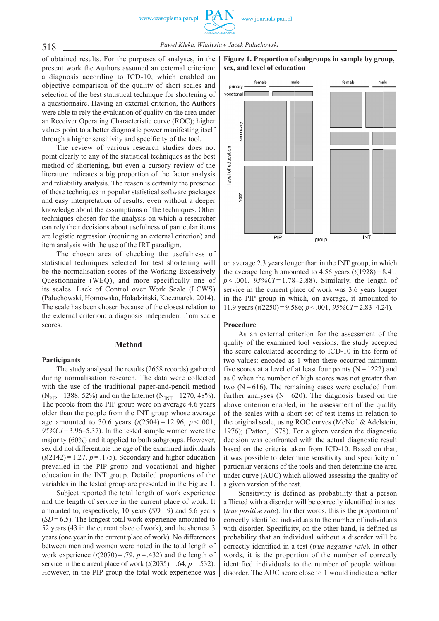www.journals.pan.pl



518 *Paweł Kleka, Władysław Jacek Paluchowski*

of obtained results. For the purposes of analyses, in the present work the Authors assumed an external criterion: a diagnosis according to ICD-10, which enabled an objective comparison of the quality of short scales and selection of the best statistical technique for shortening of a questionnaire. Having an external criterion, the Authors were able to rely the evaluation of quality on the area under an Receiver Operating Characteristic curve (ROC); higher values point to a better diagnostic power manifesting itself through a higher sensitivity and specificity of the tool.

The review of various research studies does not point clearly to any of the statistical techniques as the best method of shortening, but even a cursory review of the literature indicates a big proportion of the factor analysis and reliability analysis. The reason is certainly the presence of these techniques in popular statistical software packages and easy interpretation of results, even without a deeper knowledge about the assumptions of the techniques. Other techniques chosen for the analysis on which a researcher can rely their decisions about usefulness of particular items are logistic regression (requiring an external criterion) and item analysis with the use of the IRT paradigm.

The chosen area of checking the usefulness of statistical techniques selected for test shortening will be the normalisation scores of the Working Excessively Questionnaire (WEQ), and more specifically one of its scales: Lack of Control over Work Scale (LCWS) (Paluchowski, Hornowska, Haładziński, Kaczmarek, 2014). The scale has been chosen because of the closest relation to the external criterion: a diagnosis independent from scale scores.

### **Method**

#### **Participants**

The study analysed the results (2658 records) gathered during normalisation research. The data were collected with the use of the traditional paper-and-pencil method (N<sub>PIP</sub> = 1388, 52%) and on the Internet (N<sub>INT</sub> = 1270, 48%). The people from the PIP group were on average 4.6 years older than the people from the INT group whose average age amounted to 30.6 years  $(t(2504) = 12.96, p < .001,$ *95%CI* = 3.96–5.37). In the tested sample women were the majority (60%) and it applied to both subgroups. However, sex did not differentiate the age of the examined individuals  $(t(2142) = 1.27, p = .175)$ . Secondary and higher education prevailed in the PIP group and vocational and higher education in the INT group. Detailed proportions of the variables in the tested group are presented in the Figure 1.

Subject reported the total length of work experience and the length of service in the current place of work. It amounted to, respectively, 10 years  $(SD=9)$  and 5.6 years  $(SD=6.5)$ . The longest total work experience amounted to 52 years (43 in the current place of work), and the shortest 3 years (one year in the current place of work). No differences between men and women were noted in the total length of work experience  $(t(2070) = .79, p = .432)$  and the length of service in the current place of work  $(t(2035) = .64, p = .532)$ . However, in the PIP group the total work experience was

## **Figure 1. Proportion of subgroups in sample by group, sex, and level of education**



on average 2.3 years longer than in the INT group, in which the average length amounted to  $4.56$  years  $(t(1928) = 8.41$ ;  $p < .001$ ,  $95\%CI = 1.78 - 2.88$ ). Similarly, the length of service in the current place of work was 3.6 years longer in the PIP group in which, on average, it amounted to 11.9 years (*t*(2250) = 9.586; *p* < .001, *95%CI* = 2.83–4.24).

#### **Procedure**

As an external criterion for the assessment of the quality of the examined tool versions, the study accepted the score calculated according to ICD-10 in the form of two values: encoded as 1 when there occurred minimum five scores at a level of at least four points  $(N = 1222)$  and as 0 when the number of high scores was not greater than two  $(N = 616)$ . The remaining cases were excluded from further analyses  $(N = 620)$ . The diagnosis based on the above criterion enabled, in the assessment of the quality of the scales with a short set of test items in relation to the original scale, using ROC curves (McNeil & Adelstein, 1976); (Patton, 1978). For a given version the diagnostic decision was confronted with the actual diagnostic result based on the criteria taken from ICD-10. Based on that, it was possible to determine sensitivity and specificity of particular versions of the tools and then determine the area under curve (AUC) which allowed assessing the quality of a given version of the test.

Sensitivity is defined as probability that a person afflicted with a disorder will be correctly identified in a test (*true positive rate*). In other words, this is the proportion of correctly identified individuals to the number of individuals with disorder. Specificity, on the other hand, is defined as probability that an individual without a disorder will be correctly identified in a test (*true negative rate*). In other words, it is the proportion of the number of correctly identified individuals to the number of people without disorder. The AUC score close to 1 would indicate a better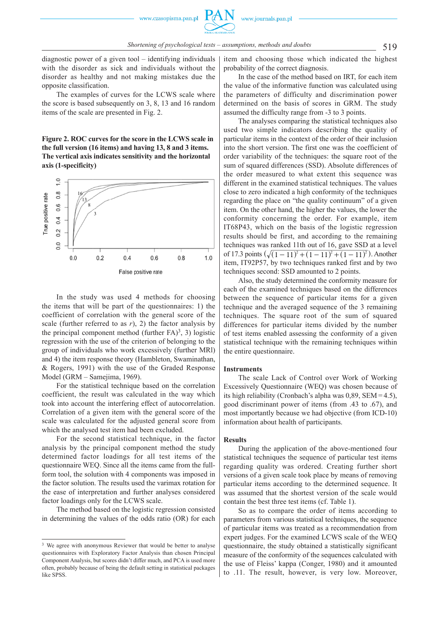

diagnostic power of a given tool – identifying individuals with the disorder as sick and individuals without the disorder as healthy and not making mistakes due the opposite classification.

The examples of curves for the LCWS scale where the score is based subsequently on 3, 8, 13 and 16 random items of the scale are presented in Fig. 2.

**Figure 2. ROC curves for the score in the LCWS scale in the full version (16 items) and having 13, 8 and 3 items. The vertical axis indicates sensitivity and the horizontal axis (1-specificity)**



In the study was used 4 methods for choosing the items that will be part of the questionnaires: 1) the coefficient of correlation with the general score of the scale (further referred to as *r*), 2) the factor analysis by the principal component method (further  $FA$ )<sup>3</sup>, 3) logistic regression with the use of the criterion of belonging to the group of individuals who work excessively (further MRl) and 4) the item response theory (Hambleton, Swaminathan, & Rogers, 1991) with the use of the Graded Response Model (GRM – Samejima, 1969).

For the statistical technique based on the correlation coefficient, the result was calculated in the way which took into account the interfering effect of autocorrelation. Correlation of a given item with the general score of the scale was calculated for the adjusted general score from which the analysed test item had been excluded.

For the second statistical technique, in the factor analysis by the principal component method the study determined factor loadings for all test items of the questionnaire WEQ. Since all the items came from the fullform tool, the solution with 4 components was imposed in the factor solution. The results used the varimax rotation for the ease of interpretation and further analyses considered factor loadings only for the LCWS scale.

The method based on the logistic regression consisted in determining the values of the odds ratio (OR) for each

item and choosing those which indicated the highest probability of the correct diagnosis.

In the case of the method based on IRT, for each item the value of the informative function was calculated using the parameters of difficulty and discrimination power determined on the basis of scores in GRM. The study assumed the difficulty range from -3 to 3 points.

The analyses comparing the statistical techniques also used two simple indicators describing the quality of particular items in the context of the order of their inclusion into the short version. The first one was the coefficient of order variability of the techniques: the square root of the sum of squared differences (SSD). Absolute differences of the order measured to what extent this sequence was different in the examined statistical techniques. The values close to zero indicated a high conformity of the techniques regarding the place on "the quality continuum" of a given item. On the other hand, the higher the values, the lower the conformity concerning the order. For example, item IT68P43, which on the basis of the logistic regression results should be first, and according to the remaining techniques was ranked 11th out of 16, gave SSD at a level of 17.3 points  $(\sqrt{(1 - 11)^2 + (1 - 11)^2 + (1 - 11)^2})$ . Another item, IT92P57, by two techniques ranked first and by two techniques second: SSD amounted to 2 points.

Also, the study determined the conformity measure for each of the examined techniques based on the differences between the sequence of particular items for a given technique and the averaged sequence of the 3 remaining techniques. The square root of the sum of squared differences for particular items divided by the number of test items enabled assessing the conformity of a given statistical technique with the remaining techniques within the entire questionnaire.

### **Instruments**

The scale Lack of Control over Work of Working Excessively Questionnaire (WEQ) was chosen because of its high reliability (Cronbach's alpha was 0,89, SEM = 4.5), good discriminant power of items (from .43 to .67), and most importantly because we had objective (from ICD-10) information about health of participants.

#### **Results**

During the application of the above-mentioned four statistical techniques the sequence of particular test items regarding quality was ordered. Creating further short versions of a given scale took place by means of removing particular items according to the determined sequence. It was assumed that the shortest version of the scale would contain the best three test items (cf. Table 1).

So as to compare the order of items according to parameters from various statistical techniques, the sequence of particular items was treated as a recommendation from expert judges. For the examined LCWS scale of the WEQ questionnaire, the study obtained a statistically significant measure of the conformity of the sequences calculated with the use of Fleiss' kappa (Conger, 1980) and it amounted to .11. The result, however, is very low. Moreover,

<sup>3</sup> We agree with anonymous Reviewer that would be better to analyse questionnaires with Exploratory Factor Analysis than chosen Principal Component Analysis, but scores didn't differ much, and PCA is used more often, probably because of being the default setting in statistical packages like SPSS.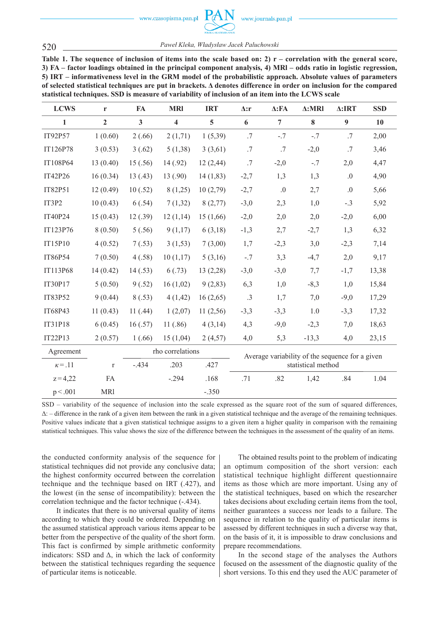www.journals.pan.pl



520 *Paweł Kleka, Władysław Jacek Paluchowski* **Table 1. The sequence of inclusion of items into the scale based on: 2) r – correlation with the general score, 3) FA – factor loadings obtained in the principal component analysis, 4) MRl – odds ratio in logistic regression, 5) IRT – informativeness level in the GRM model of the probabilistic approach. Absolute values of parameters** 

**of selected statistical techniques are put in brackets. Δ denotes difference in order on inclusion for the compared** 

**statistical techniques. SSD is measure of variability of inclusion of an item into the LCWS scale** 

| <b>LCWS</b>    | $\mathbf{r}$   | <b>FA</b>               | <b>MRI</b>              | <b>IRT</b> | $\Delta$ :r        | $\Delta$ :FA                                    | $\Delta$ :MRI | $\triangle$ :IRT | <b>SSD</b> |  |
|----------------|----------------|-------------------------|-------------------------|------------|--------------------|-------------------------------------------------|---------------|------------------|------------|--|
| $\mathbf{1}$   | $\overline{2}$ | $\overline{\mathbf{3}}$ | $\overline{\mathbf{4}}$ | 5          | 6                  | $\overline{7}$                                  | 8             | $\boldsymbol{9}$ | 10         |  |
| IT92P57        | 1(0.60)        | 2(.66)                  | 2(1,71)                 | 1(5,39)    | .7                 | $-.7$                                           | $-.7$         | .7               | 2,00       |  |
| IT126P78       | 3(0.53)        | 3(.62)                  | 5(1,38)                 | 3(3,61)    | .7                 | .7                                              | $-2,0$        | .7               | 3,46       |  |
| IT108P64       | 13(0.40)       | 15(.56)                 | 14 (.92)                | 12(2,44)   | .7                 | $-2,0$                                          | $-.7$         | 2,0              | 4,47       |  |
| IT42P26        | 16(0.34)       | 13(0.43)                | 13 (.90)                | 14(1,83)   | $-2,7$             | 1,3                                             | 1,3           | .0               | 4,90       |  |
| IT82P51        | 12(0.49)       | 10(.52)                 | 8(1,25)                 | 10(2,79)   | $-2,7$             | $\cdot$                                         | 2,7           | $\Omega$         | 5,66       |  |
| IT3P2          | 10(0.43)       | 6(.54)                  | 7(1,32)                 | 8(2,77)    | $-3,0$             | 2,3                                             | 1,0           | $-.3$            | 5,92       |  |
| IT40P24        | 15(0.43)       | 12(.39)                 | 12(1,14)                | 15(1,66)   | $-2,0$             | 2,0                                             | 2,0           | $-2,0$           | 6,00       |  |
| IT123P76       | 8(0.50)        | 5(.56)                  | 9(1,17)                 | 6(3,18)    | $-1,3$             | 2,7                                             | $-2,7$        | 1,3              | 6,32       |  |
| IT15P10        | 4(0.52)        | 7(.53)                  | 3(1,53)                 | 7(3,00)    | 1,7                | $-2,3$                                          | 3,0           | $-2,3$           | 7,14       |  |
| IT86P54        | 7(0.50)        | 4(.58)                  | 10(1,17)                | 5(3,16)    | $-.7$              | 3,3                                             | $-4,7$        | 2,0              | 9,17       |  |
| IT113P68       | 14(0.42)       | 14(.53)                 | 6(.73)                  | 13(2,28)   | $-3,0$             | $-3,0$                                          | 7,7           | $-1,7$           | 13,38      |  |
| IT30P17        | 5(0.50)        | 9(.52)                  | 16(1,02)                | 9(2,83)    | 6,3                | 1,0                                             | $-8,3$        | 1,0              | 15,84      |  |
| IT83P52        | 9(0.44)        | 8(.53)                  | 4(1,42)                 | 16(2,65)   | .3                 | 1,7                                             | 7,0           | $-9,0$           | 17,29      |  |
| IT68P43        | 11(0.43)       | 11(.44)                 | 1(2,07)                 | 11(2,56)   | $-3,3$             | $-3,3$                                          | 1.0           | $-3,3$           | 17,32      |  |
| IT31P18        | 6(0.45)        | 16(.57)                 | 11(.86)                 | 4(3,14)    | 4,3                | $-9,0$                                          | $-2,3$        | 7,0              | 18,63      |  |
| <b>IT22P13</b> | 2(0.57)        | 1(.66)                  | 15(1,04)                | 2(4,57)    | 4,0                | 5,3                                             | $-13,3$       | 4,0              | 23,15      |  |
| Agreement      |                | rho correlations        |                         |            |                    | Average variability of the sequence for a given |               |                  |            |  |
| $\kappa$ =.11  | $\mathbf{r}$   | $-.434$                 | .203                    | .427       | statistical method |                                                 |               |                  |            |  |
| $z = 4,22$     | FA             |                         | $-.294$                 | .168       | .71                | .82                                             | 1,42          | .84              | 1.04       |  |
| p < .001       | <b>MR1</b>     |                         |                         | $-.350$    |                    |                                                 |               |                  |            |  |

SSD – variability of the sequence of inclusion into the scale expressed as the square root of the sum of squared differences, Δ: – difference in the rank of a given item between the rank in a given statistical technique and the average of the remaining techniques. Positive values indicate that a given statistical technique assigns to a given item a higher quality in comparison with the remaining statistical techniques. This value shows the size of the difference between the techniques in the assessment of the quality of an items.

the conducted conformity analysis of the sequence for statistical techniques did not provide any conclusive data; the highest conformity occurred between the correlation technique and the technique based on IRT (.427), and the lowest (in the sense of incompatibility): between the correlation technique and the factor technique (-.434).

It indicates that there is no universal quality of items according to which they could be ordered. Depending on the assumed statistical approach various items appear to be better from the perspective of the quality of the short form. This fact is confirmed by simple arithmetic conformity indicators: SSD and  $\Delta$ , in which the lack of conformity between the statistical techniques regarding the sequence of particular items is noticeable.

The obtained results point to the problem of indicating an optimum composition of the short version: each statistical technique highlight different questionnaire items as those which are more important. Using any of the statistical techniques, based on which the researcher takes decisions about excluding certain items from the tool, neither guarantees a success nor leads to a failure. The sequence in relation to the quality of particular items is assessed by different techniques in such a diverse way that, on the basis of it, it is impossible to draw conclusions and prepare recommendations.

In the second stage of the analyses the Authors focused on the assessment of the diagnostic quality of the short versions. To this end they used the AUC parameter of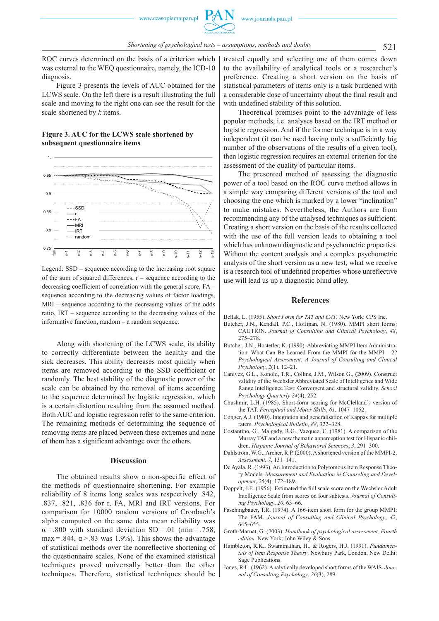

ROC curves determined on the basis of a criterion which was external to the WEQ questionnaire, namely, the ICD-10 diagnosis.

Figure 3 presents the levels of AUC obtained for the LCWS scale. On the left there is a result illustrating the full scale and moving to the right one can see the result for the scale shortened by *k* items.





Legend: SSD – sequence according to the increasing root square of the sum of squared differences, r – sequence according to the decreasing coefficient of correlation with the general score, FA – sequence according to the decreasing values of factor loadings, MRl – sequence according to the decreasing values of the odds ratio, IRT – sequence according to the decreasing values of the informative function, random – a random sequence.

Along with shortening of the LCWS scale, its ability to correctly differentiate between the healthy and the sick decreases. This ability decreases most quickly when items are removed according to the SSD coefficient or randomly. The best stability of the diagnostic power of the scale can be obtained by the removal of items according to the sequence determined by logistic regression, which is a certain distortion resulting from the assumed method. Both AUC and logistic regression refer to the same criterion. The remaining methods of determining the sequence of removing items are placed between these extremes and none of them has a significant advantage over the others.

#### **Discussion**

The obtained results show a non-specific effect of the methods of questionnaire shortening. For example reliability of 8 items long scales was respectively .842, .837, .821, .836 for r, FA, MRl and IRT versions. For comparison for 10000 random versions of Cronbach's alpha computed on the same data mean reliability was  $\alpha$  = .800 with standard deviation SD = .01 (min = .758, max = .844,  $\alpha$  > .83 was 1.9%). This shows the advantage of statistical methods over the nonreflective shortening of the questionnaire scales. None of the examined statistical techniques proved universally better than the other techniques. Therefore, statistical techniques should be

treated equally and selecting one of them comes down to the availability of analytical tools or a researcher's preference. Creating a short version on the basis of statistical parameters of items only is a task burdened with a considerable dose of uncertainty about the final result and with undefined stability of this solution.

Theoretical premises point to the advantage of less popular methods, i.e. analyses based on the IRT method or logistic regression. And if the former technique is in a way independent (it can be used having only a sufficiently big number of the observations of the results of a given tool), then logistic regression requires an external criterion for the assessment of the quality of particular items.

The presented method of assessing the diagnostic power of a tool based on the ROC curve method allows in a simple way comparing different versions of the tool and choosing the one which is marked by a lower "inclination" to make mistakes. Nevertheless, the Authors are from recommending any of the analysed techniques as sufficient. Creating a short version on the basis of the results collected with the use of the full version leads to obtaining a tool which has unknown diagnostic and psychometric properties. Without the content analysis and a complex psychometric analysis of the short version as a new test, what we receive is a research tool of undefined properties whose unreflective use will lead us up a diagnostic blind alley.

#### **References**

Bellak, L. (1955). *Short Form for TAT and CAT*. New York: CPS Inc.

- Butcher, J.N., Kendall, P.C., Hoffman, N. (1980). MMPI short forms: CAUTION. *Journal of Consulting and Clinical Psychology*, *48*, 275–278.
- Butcher, J.N., Hostetler, K. (1990). Abbreviating MMPI Item Administration. What Can Be Learned From the MMPI for the MMPI – 2? *Psychological Assessment: A Journal of Consulting and Clinical Psychology*, *2*(1), 12–21.
- Canivez, G.L., Konold, T.R., Collins, J.M., Wilson G., (2009). Construct validity of the Wechsler Abbreviated Scale of Intelligence and Wide Range Intelligence Test: Convergent and structural validity. *School Psychology Quarterly 24*(4), 252.
- Chushmir, L.H. (1985). Short-form scoring for McClelland's version of the TAT. *Perceptual and Motor Skills*, *61*, 1047–1052.
- Conger, A.J. (1980). Integration and generalisation of Kappas for multiple raters. *Psychological Bulletin*, *88*, 322–328.
- Costantino, G., Malgady, R.G., Vazquez, C. (1981). A comparison of the Murray TAT and a new thematic apperception test for Hispanic children. *Hispanic Journal of Behavioral Sciences*, *3*, 291–300.
- Dahlstrom, W.G., Archer, R.P. (2000). A shortened version of the MMPI-2. *Assessment*, *7*, 131–141.
- De Ayala, R. (1993). An Introduction to Polytomous Item Response Theory Models. *Measurement and Evaluation in Counseling and Development*, *25*(4), 172–189.
- Doppelt, J.E. (1956). Estimated the full scale score on the Wechsler Adult Intelligence Scale from scores on four subtests. *Journal of Consulting Psychology*, *20*, 63–66.
- Faschingbauer, T.R. (1974). A 166-item short form for the group MMPI: The FAM. *Journal of Consulting and Clinical Psychology*, *42*, 645–655.
- Groth-Marnat, G. (2003). *Handbook of psychological assessment, Fourth edition.* New York: John Wiley & Sons.
- Hambleton, R.K., Swaminathan, H., & Rogers, H.J. (1991). *Fundamentals of Item Response Theory*. Newbury Park, London, New Delhi: Sage Publications.
- Jones, R.L. (1962). Analytically developed short forms of the WAIS. *Journal of Consulting Psychology*, *26*(3), 289.